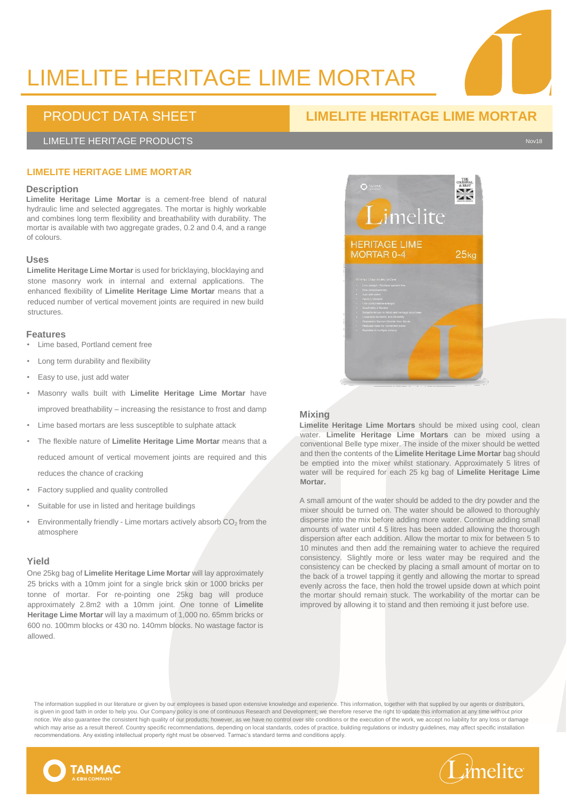## LIMELITE HERITAGE LIME MORTAR

### PRODUCT DATA SHEET **LIMELITE HERITAGE LIME MORTAR**

### LIMELITE HERITAGE PRODUCTS Nov18

### **LIMELITE HERITAGE LIME MORTAR**

### **Description**

**Limelite Heritage Lime Mortar** is a cement-free blend of natural hydraulic lime and selected aggregates. The mortar is highly workable and combines long term flexibility and breathability with durability. The mortar is available with two aggregate grades, 0.2 and 0.4, and a range of colours.

### **Uses**

**Limelite Heritage Lime Mortar** is used for bricklaying, blocklaying and stone masonry work in internal and external applications. The enhanced flexibility of **Limelite Heritage Lime Mortar** means that a reduced number of vertical movement joints are required in new build structures.

### **Features**

- Lime based, Portland cement free
- Long term durability and flexibility
- Easy to use, just add water
- Masonry walls built with **Limelite Heritage Lime Mortar** have improved breathability – increasing the resistance to frost and damp
- Lime based mortars are less susceptible to sulphate attack
- The flexible nature of **Limelite Heritage Lime Mortar** means that a reduced amount of vertical movement joints are required and this

reduces the chance of cracking

- Factory supplied and quality controlled
- Suitable for use in listed and heritage buildings
- Environmentally friendly Lime mortars actively absorb  $CO<sub>2</sub>$  from the atmosphere

### **Yield**

One 25kg bag of **Limelite Heritage Lime Mortar** will lay approximately 25 bricks with a 10mm joint for a single brick skin or 1000 bricks per tonne of mortar. For re-pointing one 25kg bag will produce approximately 2.8m2 with a 10mm joint. One tonne of **Limelite Heritage Lime Mortar** will lay a maximum of 1,000 no. 65mm bricks or 600 no. 100mm blocks or 430 no. 140mm blocks. No wastage factor is allowed.



### **Mixing**

**Limelite Heritage Lime Mortars** should be mixed using cool, clean water. **Limelite Heritage Lime Mortars** can be mixed using a conventional Belle type mixer. The inside of the mixer should be wetted and then the contents of the **Limelite Heritage Lime Mortar** bag should be emptied into the mixer whilst stationary. Approximately 5 litres of water will be required for each 25 kg bag of **Limelite Heritage Lime Mortar.** 

A small amount of the water should be added to the dry powder and the mixer should be turned on. The water should be allowed to thoroughly disperse into the mix before adding more water. Continue adding small amounts of water until 4.5 litres has been added allowing the thorough dispersion after each addition. Allow the mortar to mix for between 5 to 10 minutes and then add the remaining water to achieve the required consistency. Slightly more or less water may be required and the consistency can be checked by placing a small amount of mortar on to the back of a trowel tapping it gently and allowing the mortar to spread evenly across the face, then hold the trowel upside down at which point the mortar should remain stuck. The workability of the mortar can be improved by allowing it to stand and then remixing it just before use.

The information supplied in our literature or given by our employees is based upon extensive knowledge and experience. This information, together with that supplied by our agents or distributors, is given in good faith in order to help you. Our Company policy is one of continuous Research and Development; we therefore reserve the right to update this information at any time without prior notice. We also guarantee the consistent high quality of our products; however, as we have no control over site conditions or the execution of the work, we accept no liability for any loss or damage which may arise as a result thereof. Country specific recommendations, depending on local standards, codes of practice, building regulations or industry guidelines, may affect specific installation recommendations. Any existing intellectual property right must be observed. Tarmac's standard terms and conditions apply.